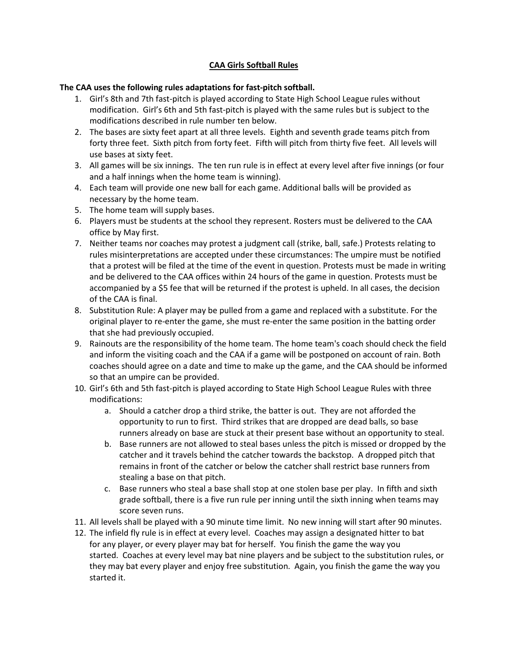## **CAA Girls Softball Rules**

## **The CAA uses the following rules adaptations for fast-pitch softball.**

- 1. Girl's 8th and 7th fast-pitch is played according to State High School League rules without modification. Girl's 6th and 5th fast-pitch is played with the same rules but is subject to the modifications described in rule number ten below.
- 2. The bases are sixty feet apart at all three levels. Eighth and seventh grade teams pitch from forty three feet. Sixth pitch from forty feet. Fifth will pitch from thirty five feet. All levels will use bases at sixty feet.
- 3. All games will be six innings. The ten run rule is in effect at every level after five innings (or four and a half innings when the home team is winning).
- 4. Each team will provide one new ball for each game. Additional balls will be provided as necessary by the home team.
- 5. The home team will supply bases.
- 6. Players must be students at the school they represent. Rosters must be delivered to the CAA office by May first.
- 7. Neither teams nor coaches may protest a judgment call (strike, ball, safe.) Protests relating to rules misinterpretations are accepted under these circumstances: The umpire must be notified that a protest will be filed at the time of the event in question. Protests must be made in writing and be delivered to the CAA offices within 24 hours of the game in question. Protests must be accompanied by a \$5 fee that will be returned if the protest is upheld. In all cases, the decision of the CAA is final.
- 8. Substitution Rule: A player may be pulled from a game and replaced with a substitute. For the original player to re-enter the game, she must re-enter the same position in the batting order that she had previously occupied.
- 9. Rainouts are the responsibility of the home team. The home team's coach should check the field and inform the visiting coach and the CAA if a game will be postponed on account of rain. Both coaches should agree on a date and time to make up the game, and the CAA should be informed so that an umpire can be provided.
- 10. Girl's 6th and 5th fast-pitch is played according to State High School League Rules with three modifications:
	- a. Should a catcher drop a third strike, the batter is out. They are not afforded the opportunity to run to first. Third strikes that are dropped are dead balls, so base runners already on base are stuck at their present base without an opportunity to steal.
	- b. Base runners are not allowed to steal bases unless the pitch is missed or dropped by the catcher and it travels behind the catcher towards the backstop. A dropped pitch that remains in front of the catcher or below the catcher shall restrict base runners from stealing a base on that pitch.
	- c. Base runners who steal a base shall stop at one stolen base per play. In fifth and sixth grade softball, there is a five run rule per inning until the sixth inning when teams may score seven runs.
- 11. All levels shall be played with a 90 minute time limit. No new inning will start after 90 minutes.
- 12. The infield fly rule is in effect at every level. Coaches may assign a designated hitter to bat for any player, or every player may bat for herself. You finish the game the way you started. Coaches at every level may bat nine players and be subject to the substitution rules, or they may bat every player and enjoy free substitution. Again, you finish the game the way you started it.